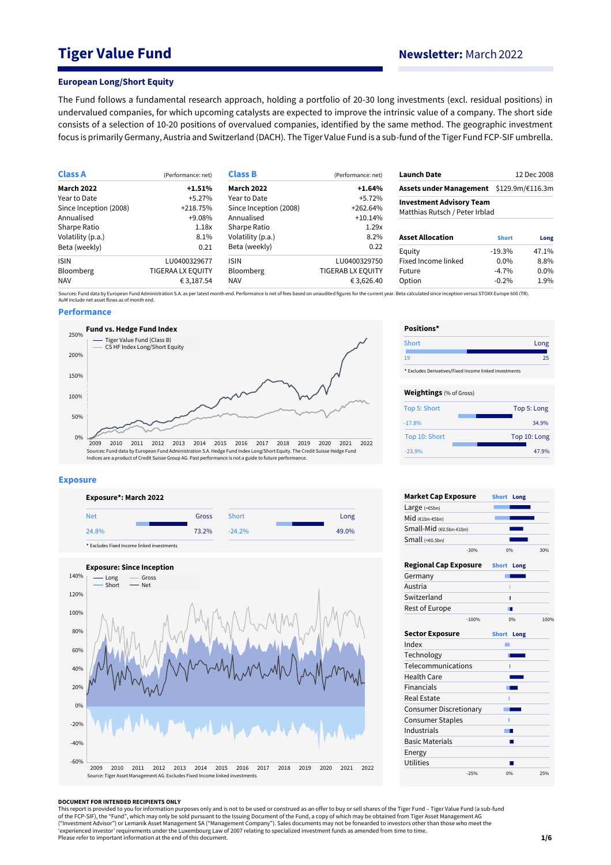# **Tiger Value Fund Newsletter:** March 2022

### **European Long/Short Equity**

The Fund follows a fundamental research approach, holding a portfolio of 20-30 long investments (excl. residual positions) in undervalued companies, for which upcoming catalysts are expected to improve the intrinsic value of a company. The short side consists of a selection of 10-20 positions of overvalued companies, identified by the same method. The geographic investment focus is primarily Germany, Austria and Switzerland (DACH). The Tiger Value Fund is a sub-fund of the Tiger Fund FCP-SIF umbrella.

| <b>Class A</b>         | (Performance: net)       | <b>Class B</b><br>(Performance: net) |                   | <b>Launch Date</b>                       |                                 | 12 Dec 2008 |  |
|------------------------|--------------------------|--------------------------------------|-------------------|------------------------------------------|---------------------------------|-------------|--|
| <b>March 2022</b>      | $+1.51%$                 | <b>March 2022</b><br>$+1.64%$        |                   | Assets under Management \$129.9m/€116.3m |                                 |             |  |
| Year to Date           | $+5.27%$                 | Year to Date                         | $+5.72%$          |                                          | <b>Investment Advisory Team</b> |             |  |
| Since Inception (2008) | +218.75%                 | Since Inception (2008)               | $+262.64%$        | Matthias Rutsch / Peter Irblad           |                                 |             |  |
| Annualised             | $+9.08%$                 | Annualised                           | $+10.14%$         |                                          |                                 |             |  |
| Sharpe Ratio           | 1.18x                    | Sharpe Ratio                         | 1.29x             |                                          |                                 |             |  |
| Volatility (p.a.)      | 8.1%                     | Volatility (p.a.)                    | 8.2%              | <b>Asset Allocation</b>                  | <b>Short</b>                    | Long        |  |
| Beta (weekly)          | 0.21                     | Beta (weekly)                        | 0.22              | Equity                                   | $-19.3%$                        | 47.1%       |  |
| <b>ISIN</b>            | LU0400329677             | <b>ISIN</b>                          | LU0400329750      | Fixed Income linked                      | $0.0\%$                         | 8.8%        |  |
| Bloomberg              | <b>TIGERAA LX EQUITY</b> | <b>Bloomberg</b>                     | TIGERAB LX EQUITY | Future                                   | $-4.7\%$                        | 0.0%        |  |
| NAV                    | € 3,187.54               | <b>NAV</b>                           | € 3,626.40        | Option                                   | $-0.2%$                         | 1.9%        |  |

Sources: Fund data by European Fund Administration S.A. as per latest month end. Performance is net of fees based on unaudited figures for the current year. Beta calculated since inception versus STOXX Europe 600 (TR).<br>AuM

### **Performance**



#### **Exposure**





| Positions*                     |                                                        |
|--------------------------------|--------------------------------------------------------|
| Short                          | Long                                                   |
| 19                             | 25                                                     |
|                                | * Excludes Derivatives/Fixed Income linked investments |
| <b>Weightings</b> (% of Gross) |                                                        |
| Top 5: Short                   | Top 5: Long                                            |
| $-17.8%$                       | 34.9%                                                  |
| Top 10: Short                  | Top 10: Long                                           |
| $-23.9%$                       | 47.9%                                                  |

| <b>Market Cap Exposure</b>    |         | <b>Short</b> | Long |      |
|-------------------------------|---------|--------------|------|------|
| Large $(>=5bn)$               |         |              |      |      |
| Mid (€1bn-€5bn)               |         |              |      |      |
| Small-Mid (€0.5bn-€1bn)       |         |              |      |      |
| Small $(60.5bn)$              |         |              |      |      |
|                               | $-30%$  |              | 0%   | 30%  |
| <b>Regional Cap Exposure</b>  |         | <b>Short</b> | Long |      |
| Germany                       |         |              |      |      |
| Austria                       |         |              | ī    |      |
| Switzerland                   |         |              | п    |      |
| Rest of Europe                |         |              | ■    |      |
|                               | $-100%$ |              | 0%   | 100% |
| <b>Sector Exposure</b>        |         | <b>Short</b> | Long |      |
| Index                         |         |              |      |      |
| Technology                    |         |              |      |      |
| Telecommunications            |         |              | ī    |      |
| <b>Health Care</b>            |         |              |      |      |
| <b>Financials</b>             |         |              |      |      |
| <b>Real Estate</b>            |         |              |      |      |
| <b>Consumer Discretionary</b> |         |              |      |      |
| <b>Consumer Staples</b>       |         | ı            |      |      |
| Industrials                   |         |              | . .  |      |
| <b>Basic Materials</b>        |         |              |      |      |
| Energy                        |         |              |      |      |
| <b>Utilities</b>              |         |              |      |      |
|                               | $-25%$  |              | 0%   | 25%  |

#### **DOCUMENT FOR INTENDED RECIPIENTS ONLY**

This report is provided to you for information purposes only and is not to be used or construed as an offer to buy or sell shares of the Tiger Fund – Tiger Value Fund (a sub-fund<br>of the FCP-SIF), the "Fund", which may only ("Investment Advisor") or Lemanik Asset Management SA ("Management Company"). Sales documents may not be forwarded to investors other than those who meet the<br>'experienced investor' requirements under the Luxembourg Law of Please refer to important information at the end of this document.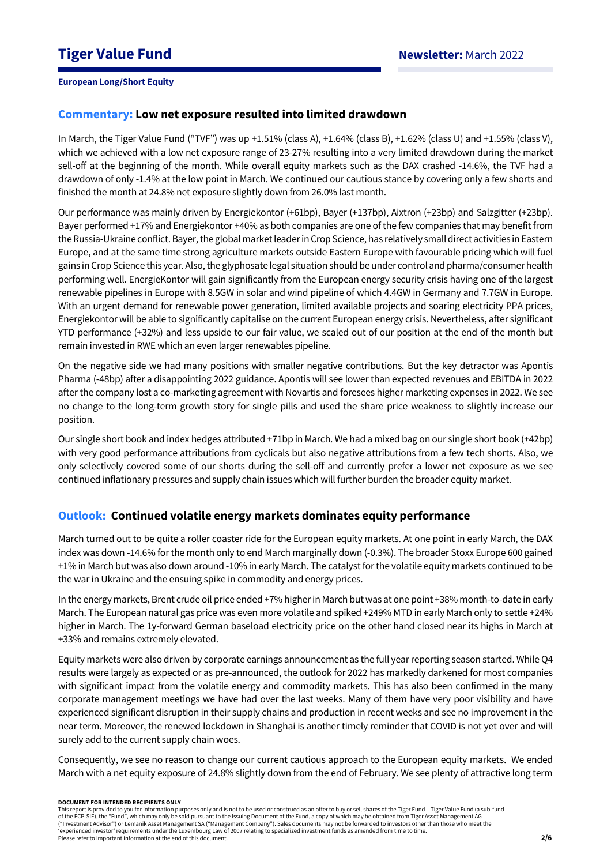# **Commentary: Low net exposure resulted into limited drawdown**

In March, the Tiger Value Fund ("TVF") was up +1.51% (class A), +1.64% (class B), +1.62% (class U) and +1.55% (class V), which we achieved with a low net exposure range of 23-27% resulting into a very limited drawdown during the market sell-off at the beginning of the month. While overall equity markets such as the DAX crashed -14.6%, the TVF had a drawdown of only -1.4% at the low point in March. We continued our cautious stance by covering only a few shorts and finished the month at 24.8% net exposure slightly down from 26.0% last month.

Our performance was mainly driven by Energiekontor (+61bp), Bayer (+137bp), Aixtron (+23bp) and Salzgitter (+23bp). Bayer performed +17% and Energiekontor +40% as both companies are one of the few companies that may benefit from the Russia-Ukraine conflict. Bayer, the global market leader in Crop Science, has relatively small direct activities in Eastern Europe, and at the same time strong agriculture markets outside Eastern Europe with favourable pricing which will fuel gains in Crop Science this year. Also, the glyphosate legal situation should be under control and pharma/consumer health performing well. EnergieKontor will gain significantly from the European energy security crisis having one of the largest renewable pipelines in Europe with 8.5GW in solar and wind pipeline of which 4.4GW in Germany and 7.7GW in Europe. With an urgent demand for renewable power generation, limited available projects and soaring electricity PPA prices, Energiekontor will be able to significantly capitalise on the current European energy crisis. Nevertheless, after significant YTD performance (+32%) and less upside to our fair value, we scaled out of our position at the end of the month but remain invested in RWE which an even larger renewables pipeline.

On the negative side we had many positions with smaller negative contributions. But the key detractor was Apontis Pharma (-48bp) after a disappointing 2022 guidance. Apontis will see lower than expected revenues and EBITDA in 2022 after the company lost a co-marketing agreement with Novartis and foresees higher marketing expenses in 2022. We see no change to the long-term growth story for single pills and used the share price weakness to slightly increase our position.

Our single short book and index hedges attributed +71bp in March. We had a mixed bag on our single short book (+42bp) with very good performance attributions from cyclicals but also negative attributions from a few tech shorts. Also, we only selectively covered some of our shorts during the sell-off and currently prefer a lower net exposure as we see continued inflationary pressures and supply chain issues which will further burden the broader equity market.

# **Outlook: Continued volatile energy markets dominates equity performance**

March turned out to be quite a roller coaster ride for the European equity markets. At one point in early March, the DAX index was down -14.6% for the month only to end March marginally down (-0.3%). The broader Stoxx Europe 600 gained +1% in March but was also down around -10% in early March. The catalyst for the volatile equity markets continued to be the war in Ukraine and the ensuing spike in commodity and energy prices.

In the energy markets, Brent crude oil price ended +7% higher in March but was at one point +38% month-to-date in early March. The European natural gas price was even more volatile and spiked +249% MTD in early March only to settle +24% higher in March. The 1y-forward German baseload electricity price on the other hand closed near its highs in March at +33% and remains extremely elevated.

Equity markets were also driven by corporate earnings announcement as the full year reporting season started. While Q4 results were largely as expected or as pre-announced, the outlook for 2022 has markedly darkened for most companies with significant impact from the volatile energy and commodity markets. This has also been confirmed in the many corporate management meetings we have had over the last weeks. Many of them have very poor visibility and have experienced significant disruption in their supply chains and production in recent weeks and see no improvement in the near term. Moreover, the renewed lockdown in Shanghai is another timely reminder that COVID is not yet over and will surely add to the current supply chain woes.

Consequently, we see no reason to change our current cautious approach to the European equity markets. We ended March with a net equity exposure of 24.8% slightly down from the end of February. We see plenty of attractive long term

#### **DOCUMENT FOR INTENDED RECIPIENTS ONLY**

This report is provided to you for information purposes only and is not to be used or construed as an offer to buy or sell shares of the Tiger Fund – Tiger Value Fund (a sub-fund of the FCP-SIF), the "Fund", which may only be sold pursuant to the Issuing Document of the Fund, a copy of which may be obtained from Tiger Asset Management AG ("Investment Advisor") or Lemanik Asset Management SA ("Management Company"). Sales documents may not be forwarded to investors other than those who meet the 'experienced investor' requirements under the Luxembourg Law of 2007 relating to specialized investment funds as amended from time to time. Please refer to important information at the end of this document.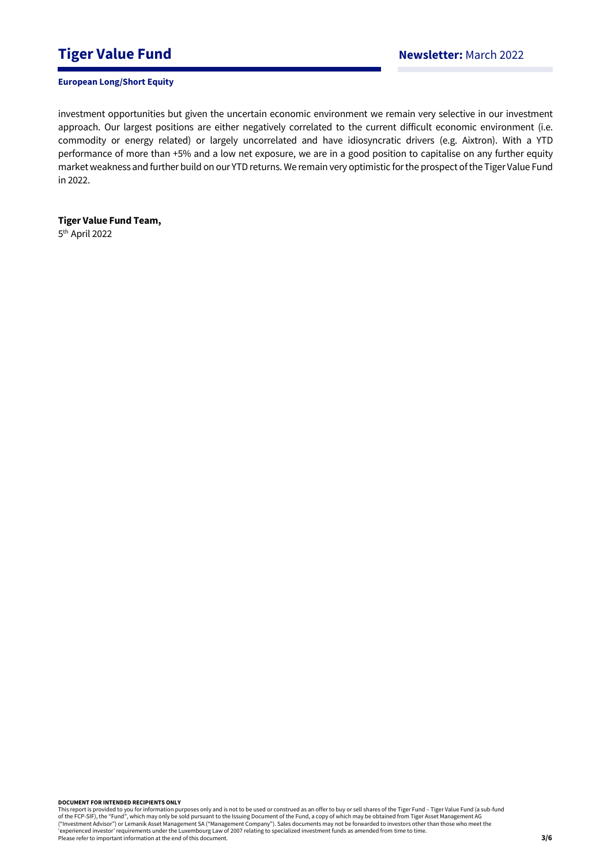# **Tiger Value Fund Newsletter:** March 2022

## **European Long/Short Equity**

investment opportunities but given the uncertain economic environment we remain very selective in our investment approach. Our largest positions are either negatively correlated to the current difficult economic environment (i.e. commodity or energy related) or largely uncorrelated and have idiosyncratic drivers (e.g. Aixtron). With a YTD performance of more than +5% and a low net exposure, we are in a good position to capitalise on any further equity market weakness and further build on our YTD returns. We remain very optimistic for the prospect of the Tiger Value Fund in 2022.

**Tiger Value Fund Team,** 

5<sup>th</sup> April 2022

**DOCUMENT FOR INTENDED RECIPIENTS ONLY**

This report is provided to you for information purposes only and is not to be used or construed as an offer to buy or sell shares of the Tiger Fund – Tiger Value Fund (a sub-fund<br>of the FCP-SIF), the "Fund", which may only ("Investment Advisor") or Lemanik Asset Management SA ("Management Company"). Sales documents may not be forwarded to investors other than those who meet the 'experienced investor' requirements under the Luxembourg Law of 2007 relating to specialized investment funds as amended from time to time. Please refer to important information at the end of this document.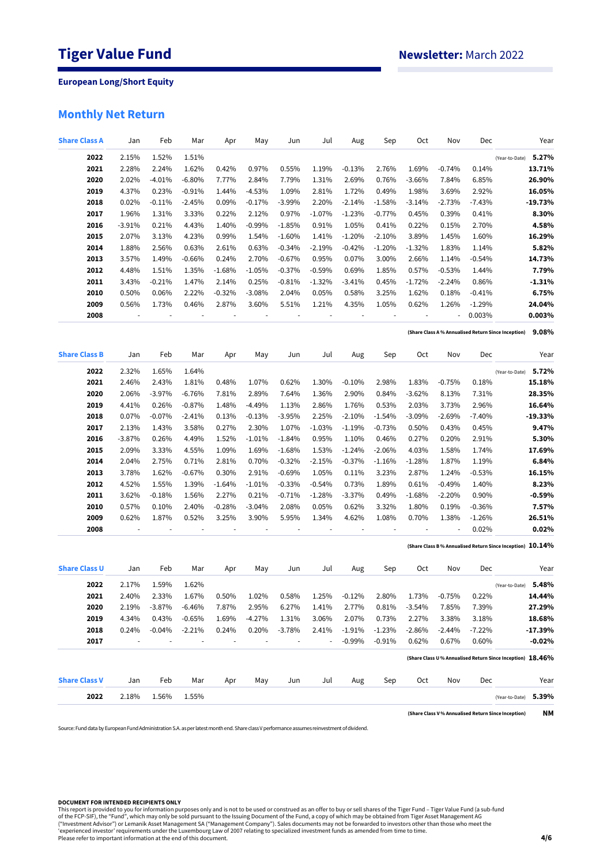# **Monthly Net Return**

| <b>Share Class A</b> | Jan      | Feb       | Mar       | Apr            | May      | Jun      | Jul      | Aug          | Sep      | Oct      | Nov                                                 | Dec       |                                                            | Year      |
|----------------------|----------|-----------|-----------|----------------|----------|----------|----------|--------------|----------|----------|-----------------------------------------------------|-----------|------------------------------------------------------------|-----------|
| 2022                 | 2.15%    | 1.52%     | 1.51%     |                |          |          |          |              |          |          |                                                     |           | (Year-to-Date)                                             | 5.27%     |
| 2021                 | 2.28%    | 2.24%     | 1.62%     | 0.42%          | 0.97%    | 0.55%    | 1.19%    | $-0.13%$     | 2.76%    | 1.69%    | $-0.74%$                                            | 0.14%     |                                                            | 13.71%    |
| 2020                 | 2.02%    | $-4.01%$  | $-6.80%$  | 7.77%          | 2.84%    | 7.79%    | 1.31%    | 2.69%        | 0.76%    | $-3.66%$ | 7.84%                                               | 6.85%     |                                                            | 26.90%    |
| 2019                 | 4.37%    | 0.23%     | $-0.91%$  | 1.44%          | $-4.53%$ | 1.09%    | 2.81%    | 1.72%        | 0.49%    | 1.98%    | 3.69%                                               | 2.92%     |                                                            | 16.05%    |
| 2018                 | 0.02%    | $-0.11%$  | $-2.45%$  | 0.09%          | $-0.17%$ | $-3.99%$ | 2.20%    | $-2.14%$     | $-1.58%$ | $-3.14%$ | $-2.73%$                                            | $-7.43%$  |                                                            | $-19.73%$ |
| 2017                 | 1.96%    | 1.31%     | 3.33%     | 0.22%          | 2.12%    | 0.97%    | $-1.07%$ | $-1.23%$     | $-0.77%$ | 0.45%    | 0.39%                                               | 0.41%     |                                                            | 8.30%     |
| 2016                 | $-3.91%$ | 0.21%     | 4.43%     | 1.40%          | $-0.99%$ | $-1.85%$ | 0.91%    | 1.05%        | 0.41%    | 0.22%    | 0.15%                                               | 2.70%     |                                                            | 4.58%     |
| 2015                 | 2.07%    | 3.13%     | 4.23%     | 0.99%          | 1.54%    | $-1.60%$ | 1.41%    | $-1.20\%$    | $-2.10%$ | 3.89%    | 1.45%                                               | 1.60%     |                                                            | 16.29%    |
| 2014                 | 1.88%    | 2.56%     | 0.63%     | 2.61%          | 0.63%    | $-0.34%$ | $-2.19%$ | $-0.42%$     | $-1.20%$ | $-1.32%$ | 1.83%                                               | 1.14%     |                                                            | 5.82%     |
| 2013                 | 3.57%    | 1.49%     | $-0.66\%$ | 0.24%          | 2.70%    | $-0.67%$ | 0.95%    | 0.07%        | 3.00%    | 2.66%    | 1.14%                                               | $-0.54%$  |                                                            | 14.73%    |
| 2012                 | 4.48%    | 1.51%     | 1.35%     | $-1.68%$       | $-1.05%$ | $-0.37%$ | $-0.59%$ | 0.69%        | 1.85%    | 0.57%    | $-0.53%$                                            | 1.44%     |                                                            | 7.79%     |
| 2011                 | 3.43%    | $-0.21%$  | 1.47%     | 2.14%          | 0.25%    | $-0.81%$ | $-1.32%$ | $-3.41%$     | 0.45%    | $-1.72%$ | $-2.24%$                                            | 0.86%     |                                                            | $-1.31%$  |
| 2010                 | 0.50%    | 0.06%     | 2.22%     | $-0.32%$       | $-3.08%$ | 2.04%    | 0.05%    | 0.58%        | 3.25%    | 1.62%    | 0.18%                                               | $-0.41%$  |                                                            | 6.75%     |
| 2009                 | 0.56%    | 1.73%     | 0.46%     | 2.87%          | 3.60%    | 5.51%    | 1.21%    | 4.35%        | 1.05%    | 0.62%    | 1.26%                                               | $-1.29%$  |                                                            | 24.04%    |
| 2008                 |          |           |           | $\overline{a}$ | ÷        |          |          | ä,           | ÷,       | ä,       |                                                     | 0.003%    |                                                            | 0.003%    |
|                      |          |           |           |                |          |          |          |              |          |          |                                                     |           |                                                            |           |
|                      |          |           |           |                |          |          |          |              |          |          |                                                     |           | (Share Class A % Annualised Return Since Inception)        | 9.08%     |
| <b>Share Class B</b> | Jan      | Feb       | Mar       | Apr            | May      | Jun      | Jul      | Aug          | Sep      | Oct      | Nov                                                 | Dec       |                                                            | Year      |
| 2022                 | 2.32%    | 1.65%     | 1.64%     |                |          |          |          |              |          |          |                                                     |           | (Year-to-Date)                                             | 5.72%     |
| 2021                 | 2.46%    | 2.43%     | 1.81%     | 0.48%          | 1.07%    | 0.62%    | 1.30%    | $-0.10%$     | 2.98%    | 1.83%    | $-0.75%$                                            | 0.18%     |                                                            | 15.18%    |
| 2020                 | 2.06%    | $-3.97%$  | $-6.76%$  | 7.81%          | 2.89%    | 7.64%    | 1.36%    | 2.90%        | 0.84%    | $-3.62%$ | 8.13%                                               | 7.31%     |                                                            | 28.35%    |
| 2019                 | 4.41%    | 0.26%     | $-0.87%$  | 1.48%          | $-4.49%$ | 1.13%    | 2.86%    | 1.76%        | 0.53%    | 2.03%    | 3.73%                                               | 2.96%     |                                                            | 16.64%    |
| 2018                 | 0.07%    | $-0.07%$  | $-2.41%$  | 0.13%          | $-0.13%$ | $-3.95%$ | 2.25%    | $-2.10%$     | $-1.54%$ | $-3.09%$ | $-2.69%$                                            | $-7.40%$  |                                                            | $-19.33%$ |
| 2017                 | 2.13%    | 1.43%     | 3.58%     | 0.27%          | 2.30%    | 1.07%    | $-1.03%$ | $-1.19\%$    | $-0.73%$ | 0.50%    | 0.43%                                               | 0.45%     |                                                            | 9.47%     |
| 2016                 | $-3.87%$ | 0.26%     | 4.49%     | 1.52%          | $-1.01%$ | $-1.84%$ | 0.95%    | 1.10%        | 0.46%    | 0.27%    | 0.20%                                               | 2.91%     |                                                            | 5.30%     |
| 2015                 | 2.09%    | 3.33%     | 4.55%     | 1.09%          | 1.69%    | $-1.68%$ | 1.53%    | $-1.24%$     | $-2.06%$ | 4.03%    | 1.58%                                               | 1.74%     |                                                            | 17.69%    |
| 2014                 | 2.04%    | 2.75%     | 0.71%     | 2.81%          | 0.70%    | $-0.32%$ | $-2.15%$ | $-0.37\%$    | $-1.16%$ | $-1.28%$ | 1.87%                                               | 1.19%     |                                                            | 6.84%     |
| 2013                 | 3.78%    | 1.62%     | $-0.67\%$ | 0.30%          | 2.91%    | $-0.69%$ | 1.05%    | 0.11%        | 3.23%    | 2.87%    | 1.24%                                               | $-0.53\%$ |                                                            | 16.15%    |
| 2012                 | 4.52%    | 1.55%     | 1.39%     | $-1.64%$       | $-1.01%$ | $-0.33%$ | $-0.54%$ | 0.73%        | 1.89%    | 0.61%    | $-0.49%$                                            | 1.40%     |                                                            | 8.23%     |
|                      |          |           |           |                |          |          |          |              |          |          |                                                     |           |                                                            |           |
| 2011                 | 3.62%    | $-0.18%$  | 1.56%     | 2.27%          | 0.21%    | $-0.71%$ | $-1.28%$ | $-3.37\%$    | 0.49%    | $-1.68%$ | $-2.20%$                                            | 0.90%     |                                                            | -0.59%    |
| 2010                 | 0.57%    | 0.10%     | 2.40%     | $-0.28%$       | $-3.04%$ | 2.08%    | 0.05%    | 0.62%        | 3.32%    | 1.80%    | 0.19%                                               | $-0.36\%$ |                                                            | 7.57%     |
| 2009                 | 0.62%    | 1.87%     | 0.52%     | 3.25%          | 3.90%    | 5.95%    | 1.34%    | 4.62%        | 1.08%    | 0.70%    | 1.38%                                               | $-1.26%$  |                                                            | 26.51%    |
| 2008                 |          |           |           |                |          |          |          |              |          |          |                                                     | 0.02%     | (Share Class B % Annualised Return Since Inception) 10.14% | 0.02%     |
|                      |          |           |           |                |          |          |          |              |          |          |                                                     |           |                                                            |           |
| <b>Share Class U</b> | Jan      | Feb       | Mar       | Apr            | May      | Jun      | Jul      | Aug          | Sep      | Oct      | Nov                                                 | Dec       |                                                            | Year      |
| 2022                 | 2.17%    | 1.59%     | 1.62%     |                |          |          |          |              |          |          |                                                     |           | (Year-to-Date)                                             | 5.48%     |
| 2021                 | 2.40%    | 2.33%     | 1.67%     | 0.50%          | 1.02%    | 0.58%    |          | 1.25% -0.12% | 2.80%    | 1.73%    | $-0.75%$                                            | 0.22%     |                                                            | 14.44%    |
| 2020                 | 2.19%    | $-3.87\%$ | $-6.46%$  | 7.87%          | 2.95%    | 6.27%    | 1.41%    | 2.77%        | 0.81%    | $-3.54%$ | 7.85%                                               | 7.39%     |                                                            | 27.29%    |
| 2019                 | 4.34%    | 0.43%     | $-0.65%$  | 1.69%          | $-4.27%$ | 1.31%    | 3.06%    | 2.07%        | 0.73%    | 2.27%    | 3.38%                                               | 3.18%     |                                                            | 18.68%    |
| 2018                 | 0.24%    | $-0.04%$  | $-2.21%$  | 0.24%          | 0.20%    | $-3.78%$ | 2.41%    | $-1.91%$     | $-1.23%$ | $-2.86%$ | -2.44%                                              | -7.22%    |                                                            | $-17.39%$ |
| 2017                 | ÷,       | Ĭ.        | ÷,        | $\blacksquare$ | ÷,       | ÷,       | ÷,       | $-0.99\%$    | $-0.91%$ | 0.62%    | 0.67%                                               | 0.60%     |                                                            | $-0.02%$  |
|                      |          |           |           |                |          |          |          |              |          |          |                                                     |           | (Share Class U % Annualised Return Since Inception) 18.46% |           |
| <b>Share Class V</b> | Jan      | Feb       | Mar       | Apr            | May      | Jun      | Jul      | Aug          | Sep      | Oct      | Nov                                                 | Dec       |                                                            | Year      |
|                      |          |           |           |                |          |          |          |              |          |          |                                                     |           |                                                            |           |
| 2022                 | 2.18%    | 1.56%     | 1.55%     |                |          |          |          |              |          |          |                                                     |           | (Year-to-Date)                                             | 5.39%     |
|                      |          |           |           |                |          |          |          |              |          |          | (Share Class V % Annualised Return Since Inception) |           |                                                            | NΜ        |

Source: Fund data by European Fund Administration S.A. as per latest month end.Share classVperformance assumes reinvestment of dividend.

#### **DOCUMENT FOR INTENDED RECIPIENTS ONLY**

This report is provided to you for information purposes only and is not to be used or construed as an offer to buy or sell shares of the Tiger Fund – Tiger Value Fund (a sub-fund<br>of the FCP-SIF), the "Fund", which may only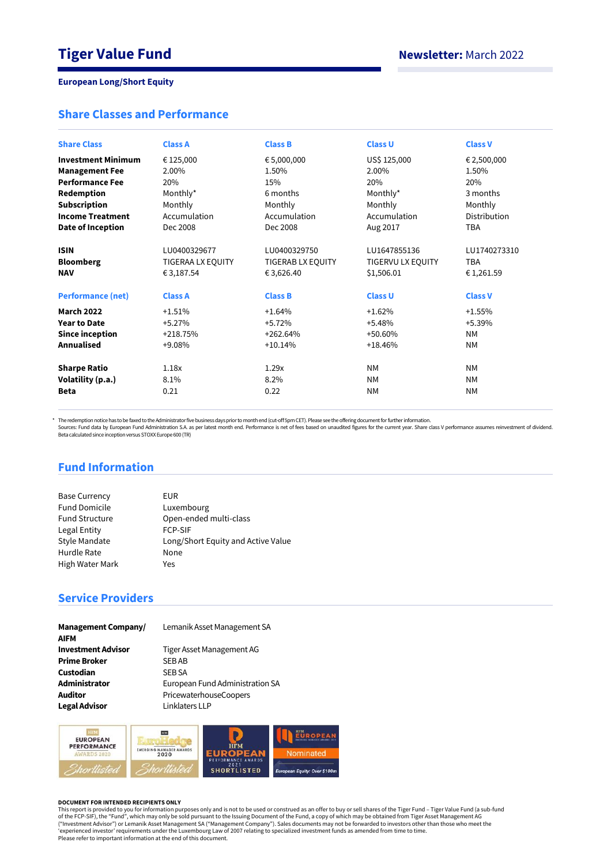# **Share Classes and Performance**

| <b>Share Class</b>        | <b>Class A</b>    | <b>Class B</b>    | <b>Class U</b>    | <b>Class V</b>      |
|---------------------------|-------------------|-------------------|-------------------|---------------------|
| <b>Investment Minimum</b> | € 125,000         | € 5,000,000       | US\$ 125,000      | € 2,500,000         |
| <b>Management Fee</b>     | 2.00%             | 1.50%             | 2.00%             | 1.50%               |
| <b>Performance Fee</b>    | 20%               | 15%               | 20%               | 20%                 |
| Redemption                | Monthly*          | 6 months          | Monthly*          | 3 months            |
| Subscription              | Monthly           | Monthly           | Monthly           | Monthly             |
| <b>Income Treatment</b>   | Accumulation      | Accumulation      | Accumulation      | <b>Distribution</b> |
| Date of Inception         | Dec 2008          | Dec 2008          | Aug 2017          | <b>TBA</b>          |
| <b>ISIN</b>               | LU0400329677      | LU0400329750      | LU1647855136      | LU1740273310        |
| <b>Bloomberg</b>          | TIGERAA LX EQUITY | TIGERAB LX EQUITY | TIGERVU LX EQUITY | <b>TBA</b>          |
| <b>NAV</b>                | € 3,187.54        | € 3,626.40        | \$1,506.01        | €1,261.59           |
| <b>Performance (net)</b>  | <b>Class A</b>    | <b>Class B</b>    | <b>Class U</b>    | <b>Class V</b>      |
| <b>March 2022</b>         | $+1.51%$          | $+1.64%$          | $+1.62%$          | $+1.55%$            |
| <b>Year to Date</b>       | $+5.27%$          | $+5.72%$          | $+5.48%$          | +5.39%              |
| <b>Since inception</b>    | $+218.75%$        | $+262.64%$        | +50.60%           | <b>NM</b>           |
| <b>Annualised</b>         | $+9.08%$          | $+10.14%$         | $+18.46%$         | <b>NM</b>           |
| <b>Sharpe Ratio</b>       | 1.18x             | 1.29x             | <b>NM</b>         | <b>NM</b>           |
| Volatility (p.a.)         | 8.1%              | 8.2%              | <b>NM</b>         | <b>NM</b>           |
| <b>Beta</b>               | 0.21              | 0.22              | <b>NM</b>         | <b>NM</b>           |

\* The redemption notice has to be faxed to the Administrator five business days prior to month end (cut-off 5pm CET). Please see the offering document for further information.

Sources: Fund data by European Fund Administration S.A. as per latest month end. Performance is net of fees based on unaudited figures for the current year. Share class V performance assumes reinvestment of dividend.<br>Beta

# **Fund Information**

| <b>Base Currency</b>  | EUR.                               |
|-----------------------|------------------------------------|
| <b>Fund Domicile</b>  | Luxembourg                         |
| <b>Fund Structure</b> | Open-ended multi-class             |
| Legal Entity          | <b>FCP-SIF</b>                     |
| <b>Style Mandate</b>  | Long/Short Equity and Active Value |
| Hurdle Rate           | None                               |
| High Water Mark       | Yes                                |

# **Service Providers**

| <b>Management Company/</b> |
|----------------------------|
| <b>AIFM</b>                |
| <b>Investment Advisor</b>  |
| <b>Prime Broker</b>        |
| Custodian                  |
| Administrator              |
| <b>Auditor</b>             |
| <b>Legal Advisor</b>       |

Lemanik Asset Management SA

**Investment Advisor** Tiger Asset Management AG **SEB AB SEB SA Administrator** European Fund Administration SA **Auditor** PricewaterhouseCoopers **Linklaters LLP** 



#### **DOCUMENT FOR INTENDED RECIPIENTS ONLY**

This report is provided to you for information purposes only and is not to be used or construed as an offer to buy or sell shares of the Tiger Fund – Tiger Value Fund (a sub-fund<br>of the FCP-SIF), the "Fund", which may only ("Investment Advisor") or Lemanik Asset Management SA ("Management Company"). Sales documents may not be forwarded to investors other than those who meet the<br>'experienced investor' requirements under the Luxembourg Law of Please refer to important information at the end of this document.